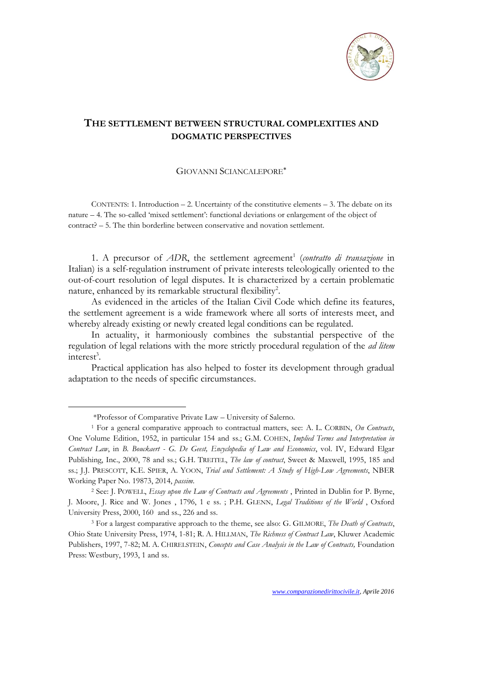

## **THE SETTLEMENT BETWEEN STRUCTURAL COMPLEXITIES AND DOGMATIC PERSPECTIVES**

## GIOVANNI SCIANCALEPORE

CONTENTS: 1. Introduction  $-2$ . Uncertainty of the constitutive elements  $-3$ . The debate on its nature – 4. The so-called 'mixed settlement': functional deviations or enlargement of the object of contract? – 5. The thin borderline between conservative and novation settlement.

1. A precursor of *ADR*, the settlement agreement<sup>1</sup> (contratto di transazione in Italian) is a self-regulation instrument of private interests teleologically oriented to the out-of-court resolution of legal disputes. It is characterized by a certain problematic nature, enhanced by its remarkable structural flexibility<sup>2</sup>.

As evidenced in the articles of the Italian Civil Code which define its features, the settlement agreement is a wide framework where all sorts of interests meet, and whereby already existing or newly created legal conditions can be regulated.

Practical application has also helped to foster its development through gradual adaptation to the needs of specific circumstances.

-

In actuality, it harmoniously combines the substantial perspective of the regulation of legal relations with the more strictly procedural regulation of the *ad litem*  $interest<sup>3</sup>$ .

<sup>\*</sup>Professor of Comparative Private Law – University of Salerno.

<sup>1</sup> For a general comparative approach to contractual matters, see: A. L. CORBIN, *On Contracts*, One Volume Edition, 1952, in particular 154 and ss.; G.M. COHEN, *Implied Terms and Interpretation in Contract Law*, in *B. Bouckaert - G. De Geest, Encyclopedia of Law and Economics*, vol. IV, Edward Elgar Publishing, Inc., 2000, 78 and ss.; G.H. TREITEL, *The law of contract*, Sweet & Maxwell, 1995, 185 and ss.; J.J. PRESCOTT, K.E. SPIER, A. YOON, *Trial and Settlement: A Study of High*-*Low Agreements*, NBER Working Paper No. 19873, 2014, *passim*.

<sup>2</sup> See: J. POWELL, *Essay upon the Law of Contracts and Agreements* , Printed in Dublin for [P. Byrne,](https://archive.org/search.php?query=publisher%3A%22Dublin+%3A+Printed+for+P.+Byrne%2C+J.+Moore%2C+J.+Rice+and+W.+Jones%22)  [J. Moore, J. Rice and W. Jones](https://archive.org/search.php?query=publisher%3A%22Dublin+%3A+Printed+for+P.+Byrne%2C+J.+Moore%2C+J.+Rice+and+W.+Jones%22) , 1796, 1 e ss. ; P.H. GLENN, *Legal Traditions of the World* , Oxford University Press, 2000, 160 and ss., 226 and ss.

<sup>3</sup> For a largest comparative approach to the theme, see also: G. GILMORE, *The Death of Contracts*, Ohio State University Press, 1974, 1-81; R. A. HILLMAN, *The Richness of Contract Law*, Kluwer Academic Publishers, 1997, 7-82; M. A. CHIRELSTEIN, *Concepts and Case Analysis in the Law of Contracts*, Foundation Press: Westbury, 1993, 1 and ss.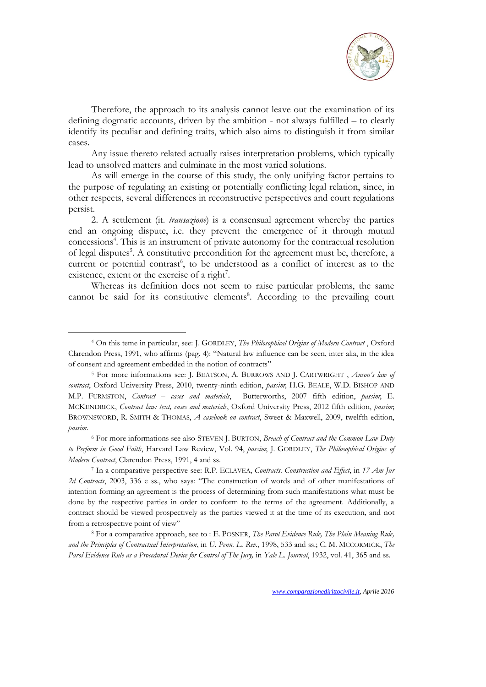

Therefore, the approach to its analysis cannot leave out the examination of its defining dogmatic accounts, driven by the ambition - not always fulfilled – to clearly identify its peculiar and defining traits, which also aims to distinguish it from similar cases.

Any issue thereto related actually raises interpretation problems, which typically lead to unsolved matters and culminate in the most varied solutions.

As will emerge in the course of this study, the only unifying factor pertains to the purpose of regulating an existing or potentially conflicting legal relation, since, in other respects, several differences in reconstructive perspectives and court regulations persist.

2. A settlement (it*. transazione*) is a consensual agreement whereby the parties end an ongoing dispute, i.e. they prevent the emergence of it through mutual concessions<sup>4</sup>. This is an instrument of private autonomy for the contractual resolution of legal disputes<sup>5</sup>. A constitutive precondition for the agreement must be, therefore, a current or potential contrast<sup>6</sup>, to be understood as a conflict of interest as to the existence, extent or the exercise of a right<sup>7</sup>.

Whereas its definition does not seem to raise particular problems, the same cannot be said for its constitutive elements<sup>8</sup>. According to the prevailing court

<u>.</u>

<sup>6</sup> For more informations see also STEVEN J. BURTON, *Breach of Contract and the Common Law Duty to Perform in Good Faith*, Harvard Law Review, Vol. 94, *passim*; J. GORDLEY, *The Philosophical Origins of Modern Contract*, Clarendon Press, 1991, 4 and ss.

<sup>7</sup> In a comparative perspective see: R.P. ECLAVEA, *Contracts. Construction and Effect*, in *17 Am Jur 2d Contracts*, 2003, 336 e ss., who says: "The construction of words and of other manifestations of intention forming an agreement is the process of determining from such manifestations what must be done by the respective parties in order to conform to the terms of the agreement. Additionally, a contract should be viewed prospectively as the parties viewed it at the time of its execution, and not from a retrospective point of view"

<sup>8</sup> For a comparative approach, see to : E. POSNER, *The Parol Evidence Rule, The Plain Meaning Rule, and the Principles of Contractual Interpretation*, in *U. Penn. L. Rev*., 1998, 533 and ss.; C. M. MCCORMICK, *The Parol Evidence Rule as a Procedural Device for Control of The Jury,* in *Yale L. Journal*, 1932, vol. 41, 365 and ss.

<sup>4</sup> On this teme in particular, see: J. GORDLEY, *The Philosophical Origins of Modern Contract* , Oxford Clarendon Press, 1991, who affirms (pag. 4): "Natural law influence can be seen, inter alia, in the idea of consent and agreement embedded in the notion of contracts"

<sup>5</sup> For more informations see: J. BEATSON, A. BURROWS AND J. CARTWRIGHT , *Anson's law of contract*, Oxford University Press, 2010, twenty-ninth edition, *passim*; H.G. BEALE, W.D. BISHOP AND M.P. FURMSTON, *Contract – cases and materials*, Butterworths, 2007 fifth edition, *passim*; E. MCKENDRICK, *Contract law: text, cases and materials*, Oxford University Press, 2012 fifth edition, *passim*; BROWNSWORD, R. SMITH & THOMAS, *A casebook on contract*, Sweet & Maxwell, 2009, twelfth edition, *passim*.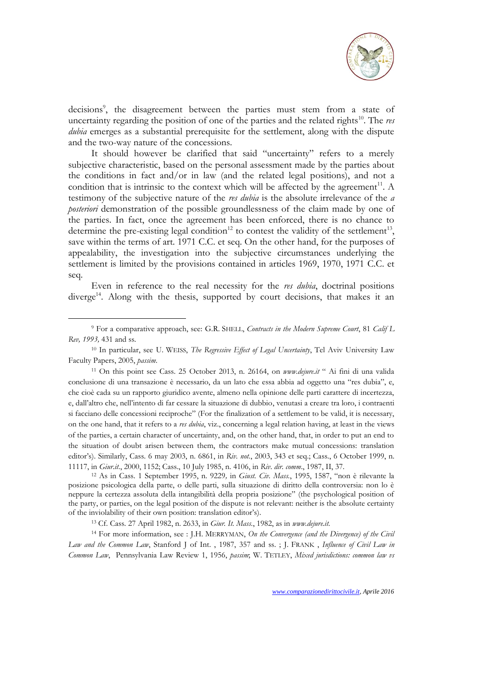

decisions<sup>9</sup>, the disagreement between the parties must stem from a state of uncertainty regarding the position of one of the parties and the related rights<sup>10</sup>. The *res dubia* emerges as a substantial prerequisite for the settlement, along with the dispute and the two-way nature of the concessions.

It should however be clarified that said "uncertainty" refers to a merely subjective characteristic, based on the personal assessment made by the parties about the conditions in fact and/or in law (and the related legal positions), and not a condition that is intrinsic to the context which will be affected by the agreement $^{11}$ . A testimony of the subjective nature of the *res dubia* is the absolute irrelevance of the *a posteriori* demonstration of the possible groundlessness of the claim made by one of the parties. In fact, once the agreement has been enforced, there is no chance to determine the pre-existing legal condition<sup>12</sup> to contest the validity of the settlement<sup>13</sup>, save within the terms of art. 1971 C.C. et seq. On the other hand, for the purposes of appealability, the investigation into the subjective circumstances underlying the settlement is limited by the provisions contained in articles 1969, 1970, 1971 C.C. et seq.

Even in reference to the real necessity for the *res dubia*, doctrinal positions diverge<sup>14</sup>. Along with the thesis, supported by court decisions, that makes it an

<u>.</u>

<sup>12</sup> As in Cass. 1 September 1995, n. 9229*,* in *Giust. Civ. Mass.*, 1995, 1587, "non è rilevante la posizione psicologica della parte, o delle parti, sulla situazione di diritto della controversia: non lo è neppure la certezza assoluta della intangibilità della propria posizione" (the psychological position of the party, or parties, on the legal position of the dispute is not relevant: neither is the absolute certainty of the inviolability of their own position: translation editor's).

<sup>14</sup> For more information, see : J.H. MERRYMAN, *On the Convergence (and the Divergence) of the Civil Law and the Common Law*, Stanford J of Int. , 1987, 357 and ss. ; J. FRANK , *Influence of Civil Law in Common Law*, Pennsylvania Law Review 1, 1956, *passim*; W. TETLEY, *Mixed jurisdictions: common law vs* 

<sup>9</sup> For a comparative approach, see: G.R. SHELL, *Contracts in the Modern Supreme Court*, 81 *Calif L Rev, 1993,* 431 and ss.

<sup>10</sup> In particular, see U. WEISS, *The Regressive Effect of Legal Uncertainty*, Tel Aviv University Law Faculty Papers, 2005, *passim*.

<sup>11</sup> On this point see Cass. 25 October 2013, n. 26164, on *[www.dejure.it](http://www.dejure.it/)* " Ai fini di una valida conclusione di una transazione è necessario, da un lato che essa abbia ad oggetto una "res dubia", e, che cioè cada su un rapporto giuridico avente, almeno nella opinione delle parti carattere di incertezza, e, dall'altro che, nell'intento di far cessare la situazione di dubbio, venutasi a creare tra loro, i contraenti si facciano delle concessioni reciproche" (For the finalization of a settlement to be valid, it is necessary, on the one hand, that it refers to a *res dubia*, viz., concerning a legal relation having, at least in the views of the parties, a certain character of uncertainty, and, on the other hand, that, in order to put an end to the situation of doubt arisen between them, the contractors make mutual concessions: translation editor's). Similarly, Cass. 6 may 2003, n. 6861, in *Riv. not.*, 2003, 343 et seq.; Cass., 6 October 1999, n. 11117, in *Giur.it*., 2000, 1152; Cass., 10 July 1985, n. 4106, in *Riv*. *dir. comm*., 1987, II, 37.

<sup>13</sup> Cf. Cass. 27 April 1982, n. 2633, in *Giur. It. Mass.*, 1982, as in *[www.dejure.it.](http://www.dejure.it/)*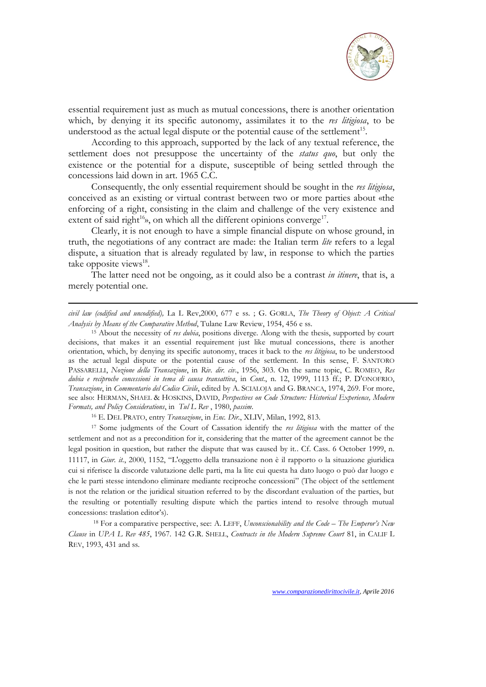

essential requirement just as much as mutual concessions, there is another orientation which, by denying it its specific autonomy, assimilates it to the *res litigiosa*, to be understood as the actual legal dispute or the potential cause of the settlement<sup>15</sup>.

According to this approach, supported by the lack of any textual reference, the settlement does not presuppose the uncertainty of the *status quo*, but only the existence or the potential for a dispute, susceptible of being settled through the concessions laid down in art. 1965 C.C.

Consequently, the only essential requirement should be sought in the *res litigiosa*, conceived as an existing or virtual contrast between two or more parties about «the enforcing of a right, consisting in the claim and challenge of the very existence and extent of said right<sup>16</sup>», on which all the different opinions converge<sup>17</sup>.

Clearly, it is not enough to have a simple financial dispute on whose ground, in truth, the negotiations of any contract are made: the Italian term *lite* refers to a legal dispute, a situation that is already regulated by law, in response to which the parties take opposite views<sup>18</sup>.

The latter need not be ongoing, as it could also be a contrast *in itinere*, that is, a merely potential one.

*civil law (codified and uncodified),* La L Rev,2000, 677 e ss. ; G. GORLA, *The Theory of Object: A Critical Analysis by Means of the Comparative Method*, Tulane Law Review, 1954, 456 e ss.

<sup>15</sup> About the necessity of *res dubia*, positions diverge. Along with the thesis, supported by court decisions, that makes it an essential requirement just like mutual concessions, there is another orientation, which, by denying its specific autonomy, traces it back to the *res litigiosa*, to be understood as the actual legal dispute or the potential cause of the settlement. In this sense, F. SANTORO PASSARELLI, *Nozione della Transazione*, in *Riv. dir. civ*., 1956, 303. On the same topic, C. ROMEO, *Res dubia e reciproche concessioni in tema di causa transattiva*, in *Cont.*, n. 12, 1999, 1113 ff.; P. D'ONOFRIO, *Transazione*, in *Commentario del Codice Civile*, edited by A. SCIALOJA and G. BRANCA, 1974, 269. For more, see also: HERMAN, SHAEL & HOSKINS, DAVID, *Perspectives on Code Structure: Historical Experience, Modern Formats, and Policy Considerations*, in *Tul L Rev* , 1980, *passim*.

<sup>16</sup> E. DEL PRATO, entry *Transazione*, in *Enc. Dir*., XLIV, Milan, 1992, 813.

-

<sup>17</sup> Some judgments of the Court of Cassation identify the *res litigiosa* with the matter of the settlement and not as a precondition for it, considering that the matter of the agreement cannot be the legal position in question, but rather the dispute that was caused by it.. Cf. Cass. 6 October 1999, n. 11117, in *Giur. it.*, 2000, 1152, "L'oggetto della transazione non è il rapporto o la situazione giuridica cui si riferisce la discorde valutazione delle parti, ma la lite cui questa ha dato luogo o può dar luogo e che le parti stesse intendono eliminare mediante reciproche concessioni" (The object of the settlement is not the relation or the juridical situation referred to by the discordant evaluation of the parties, but the resulting or potentially resulting dispute which the parties intend to resolve through mutual concessions: traslation editor's).

<sup>18</sup> For a comparative perspective, see: A. LEFF, *Unconscionability and the Code – The Emperor's New Clause* in *UPA L Rev 485*, 1967. 142 G.R. SHELL, *Contracts in the Modern Supreme Court* 81, in CALIF L REV, 1993, 431 and ss.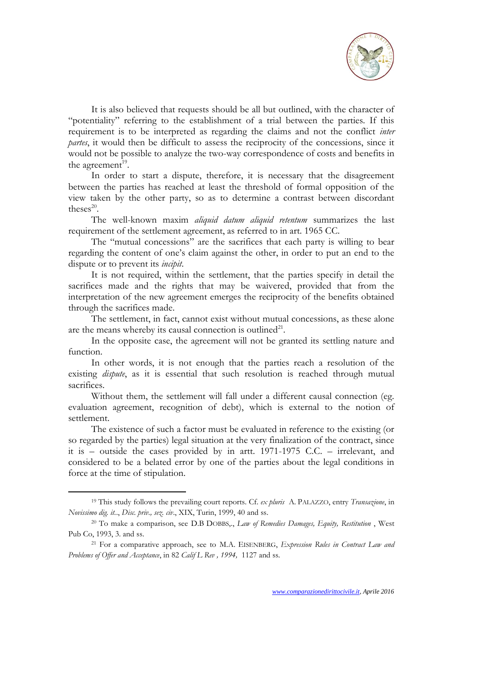

It is also believed that requests should be all but outlined, with the character of "potentiality" referring to the establishment of a trial between the parties. If this requirement is to be interpreted as regarding the claims and not the conflict *inter partes*, it would then be difficult to assess the reciprocity of the concessions, since it would not be possible to analyze the two-way correspondence of costs and benefits in the agreement<sup>19</sup>.

In order to start a dispute, therefore, it is necessary that the disagreement between the parties has reached at least the threshold of formal opposition of the view taken by the other party, so as to determine a contrast between discordant theses $^{20}$ .

The well-known maxim *aliquid datum aliquid retentum* summarizes the last requirement of the settlement agreement, as referred to in art. 1965 CC.

The "mutual concessions" are the sacrifices that each party is willing to bear regarding the content of one's claim against the other, in order to put an end to the dispute or to prevent its *incipit*.

It is not required, within the settlement, that the parties specify in detail the sacrifices made and the rights that may be waivered, provided that from the interpretation of the new agreement emerges the reciprocity of the benefits obtained through the sacrifices made.

The settlement, in fact, cannot exist without mutual concessions, as these alone are the means whereby its causal connection is outlined $21$ .

In the opposite case, the agreement will not be granted its settling nature and function.

In other words, it is not enough that the parties reach a resolution of the existing *dispute*, as it is essential that such resolution is reached through mutual sacrifices.

Without them, the settlement will fall under a different causal connection (eg. evaluation agreement, recognition of debt), which is external to the notion of settlement.

The existence of such a factor must be evaluated in reference to the existing (or so regarded by the parties) legal situation at the very finalization of the contract, since it is – outside the cases provided by in artt. 1971-1975 C.C. – irrelevant, and considered to be a belated error by one of the parties about the legal conditions in force at the time of stipulation.

<sup>19</sup> This study follows the prevailing court reports. Cf. *ex pluris* A. PALAZZO, entry *Transazione*, in *Novissimo dig. it.*., *Disc. priv., sez. civ*., XIX, Turin, 1999, 40 and ss.

<sup>20</sup> To make a comparison, see D.B DOBBS,., *Law of Remedies Damages, Equity, Restitution* , West Pub Co, 1993, 3. and ss.

<sup>21</sup> For a comparative approach, see to M.A. EISENBERG, *Expression Rules in Contract Law and Problems of Offer and Acceptance*, in 82 *Calif L Rev , 1994,* 1127 and ss.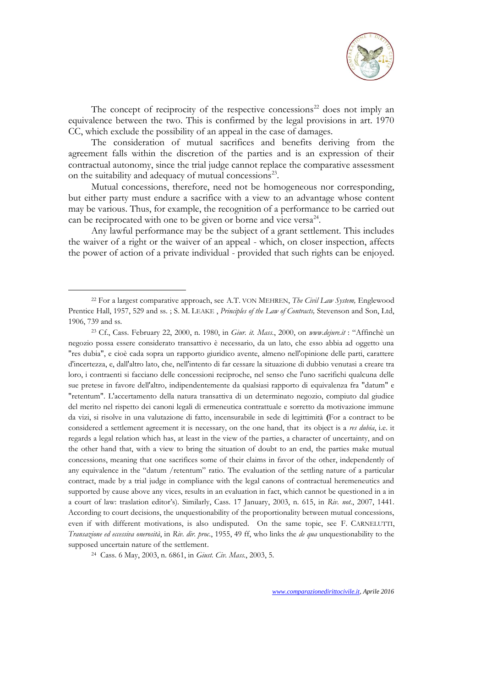

The concept of reciprocity of the respective concessions<sup>22</sup> does not imply an equivalence between the two. This is confirmed by the legal provisions in art. 1970 CC, which exclude the possibility of an appeal in the case of damages.

The consideration of mutual sacrifices and benefits deriving from the agreement falls within the discretion of the parties and is an expression of their contractual autonomy, since the trial judge cannot replace the comparative assessment on the suitability and adequacy of mutual concessions<sup>23</sup>.

Mutual concessions, therefore, need not be homogeneous nor corresponding, but either party must endure a sacrifice with a view to an advantage whose content may be various. Thus, for example, the recognition of a performance to be carried out can be reciprocated with one to be given or borne and vice versa<sup>24</sup>.

Any lawful performance may be the subject of a grant settlement. This includes the waiver of a right or the waiver of an appeal - which, on closer inspection, affects the power of action of a private individual - provided that such rights can be enjoyed.

-

<sup>22</sup> For a largest comparative approach, see A.T. VON MEHREN, *The Civil Law System,* Englewood Prentice Hall, 1957, 529 and ss. ; S. M. LEAKE , *Principles of the Law of Contracts,* Stevenson and Son, Ltd, 1906, 739 and ss.

<sup>23</sup> Cf., Cass. February 22, 2000, n. 1980, in *Giur. it. Mass.*, 2000, on *[www.dejure.it](http://www.dejure.it/)* : "Affinchè un negozio possa essere considerato transattivo è necessario, da un lato, che esso abbia ad oggetto una "res dubia", e cioè cada sopra un rapporto giuridico avente, almeno nell'opinione delle parti, carattere d'incertezza, e, dall'altro lato, che, nell'intento di far cessare la situazione di dubbio venutasi a creare tra loro, i contraenti si facciano delle concessioni reciproche, nel senso che l'uno sacrifichi qualcuna delle sue pretese in favore dell'altro, indipendentemente da qualsiasi rapporto di equivalenza fra "datum" e "retentum". L'accertamento della natura transattiva di un determinato negozio, compiuto dal giudice del merito nel rispetto dei canoni legali di ermeneutica contrattuale e sorretto da motivazione immune da vizi, si risolve in una valutazione di fatto, incensurabile in sede di legittimità **(**For a contract to be considered a settlement agreement it is necessary, on the one hand, that its object is a *res dubia*, i.e. it regards a legal relation which has, at least in the view of the parties, a character of uncertainty, and on the other hand that, with a view to bring the situation of doubt to an end, the parties make mutual concessions, meaning that one sacrifices some of their claims in favor of the other, independently of any equivalence in the "datum /retentum" ratio. The evaluation of the settling nature of a particular contract, made by a trial judge in compliance with the legal canons of contractual heremeneutics and supported by cause above any vices, results in an evaluation in fact, which cannot be questioned in a in a court of law: traslation editor's). Similarly, Cass. 17 January, 2003, n. 615, in *Riv. not*., 2007, 1441. According to court decisions, the unquestionability of the proportionality between mutual concessions, even if with different motivations, is also undisputed. On the same topic, see F. CARNELUTTI, *Transazione ed eccessiva onerosità*, in *Riv. dir. proc*., 1955, 49 ff, who links the *de qua* unquestionability to the supposed uncertain nature of the settlement.

<sup>24</sup> Cass. 6 May, 2003, n. 6861, in *Giust. Civ. Mass.*, 2003, 5.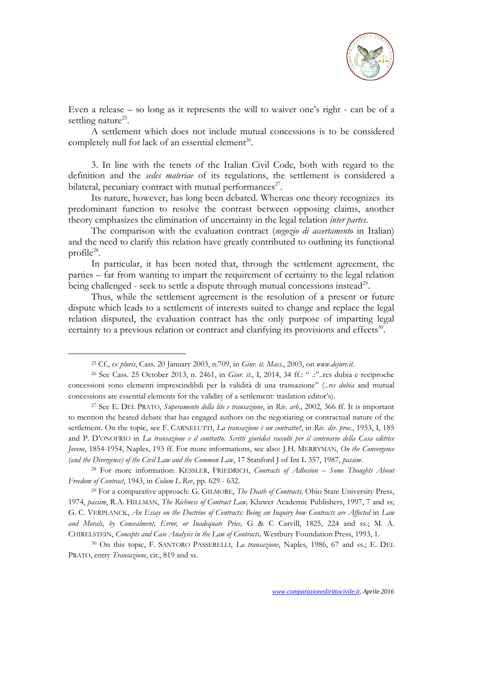

Even a release – so long as it represents the will to waiver one's right - can be of a settling nature<sup>25</sup>.

A settlement which does not include mutual concessions is to be considered completely null for lack of an essential element<sup>26</sup>.

3. In line with the tenets of the Italian Civil Code, both with regard to the definition and the *sedes materiae* of its regulations, the settlement is considered a bilateral, pecuniary contract with mutual performances<sup>27</sup>.

Its nature, however, has long been debated. Whereas one theory recognizes its predominant function to resolve the contrast between opposing claims, another theory emphasizes the elimination of uncertainty in the legal relation *inter partes*.

The comparison with the evaluation contract (*negozio di accertamento* in Italian) and the need to clarify this relation have greatly contributed to outlining its functional  $\rm profile^{28}.$ 

In particular, it has been noted that, through the settlement agreement, the parties – far from wanting to impart the requirement of certainty to the legal relation being challenged - seek to settle a dispute through mutual concessions instead<sup>29</sup>.

Thus, while the settlement agreement is the resolution of a present or future dispute which leads to a settlement of interests suited to change and replace the legal relation disputed, the evaluation contract has the only purpose of imparting legal certainty to a previous relation or contract and clarifying its provisions and effects<sup>30</sup>.

<sup>25</sup> Cf., *ex pluris*, Cass. 20 January 2003, n.709, in *Giur. it. Mass.*, 2003, on *[www.dejure.it.](http://www.dejure.it/)*

<sup>26</sup> See Cass. 25 October 2013, n. 2461, in *Giur. it*., I, 2014, 34 ff.: " .:"..res dubia e reciproche concessioni sono elementi imprescindibili per la validità di una transazione" (..*res dubia* and mutual concessions are essential elements for the validity of a settlement: traslation editor's).

<sup>27</sup> See E. DEL PRATO, *Superamento della lite e transazione*, in *Riv. arb*., 2002, 366 ff. It is important to mention the heated debate that has engaged authors on the negotiating or contractual nature of the settlement. On the topic, see F. CARNELUTTI, *La transazione è un contratto?*, in *Riv. dir. proc*., 1953, I, 185 and P. D'ONOFRIO in *La transazione e il contratto. Scritti giuridici raccolti per il centenario della Casa editrice Jovene*, 1854-1954, Naples, 193 ff. For more informations, see also: J.H. MERRYMAN, *On the Convergence (and the Divergence) of the Civil Law and the Common Law*, 17 Stanford J of Int L 357, 1987, *passim*.

<sup>28</sup> For more information: KESSLER, FRIEDRICH, *Contracts of Adhesion – Some Thoughts About Freedom of Contract*, 1943, in *Colum L Rev*, pp. 629 - 632.

<sup>29</sup> For a comparative approach: G. GILMORE, *The Death of Contracts,* Ohio State University Press, 1974, *passim*, R.A. HILLMAN, *The Richness of Contract Law,* Kluwer Academic Publishers, 1997, 7 and ss; G. C. VERPLANCK, *An Essay on the Doctrine of Contracts: Being an Inquiry how Contracts are Affected* in *Law and Morals, by Concealment, Error, or Inadequate Price,* G & C Carvill, 1825, 224 and ss.; M. A. CHIRELSTEIN, *Concepts and Case Analysis in the Law of Contracts,* Westbury Foundation Press, 1993, 1.

<sup>30</sup> On this topic, F. SANTORO PASSERELLI, *La transazione*, Naples, 1986, 67 and ss.; E. DEL PRATO, entry *Transazione*, cit., 819 and ss.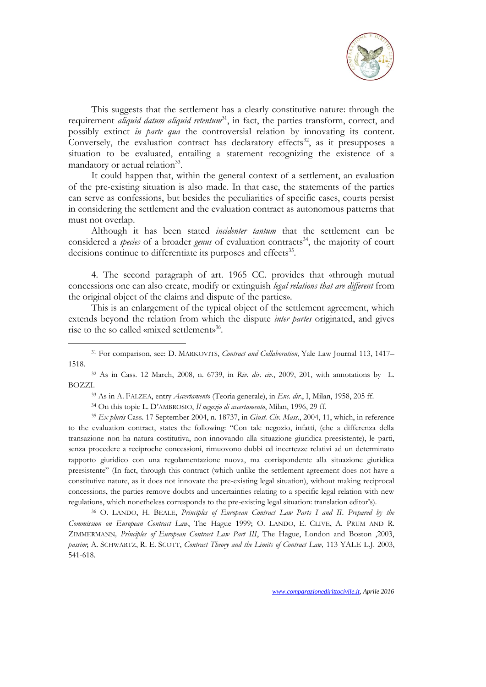

This suggests that the settlement has a clearly constitutive nature: through the requirement *aliquid datum aliquid retentum*<sup>31</sup>, in fact, the parties transform, correct, and possibly extinct *in parte qua* the controversial relation by innovating its content. Conversely, the evaluation contract has declaratory effects<sup>32</sup>, as it presupposes a situation to be evaluated, entailing a statement recognizing the existence of a mandatory or actual relation<sup>33</sup>.

It could happen that, within the general context of a settlement, an evaluation of the pre-existing situation is also made. In that case, the statements of the parties can serve as confessions, but besides the peculiarities of specific cases, courts persist in considering the settlement and the evaluation contract as autonomous patterns that must not overlap.

Although it has been stated *incidenter tantum* that the settlement can be considered a *species* of a broader *genus* of evaluation contracts<sup>34</sup>, the majority of court decisions continue to differentiate its purposes and effects<sup>35</sup>.

4. The second paragraph of art. 1965 CC. provides that «through mutual concessions one can also create, modify or extinguish *legal relations that are different* from the original object of the claims and dispute of the parties».

This is an enlargement of the typical object of the settlement agreement, which extends beyond the relation from which the dispute *inter partes* originated, and gives rise to the so called «mixed settlement»<sup>36</sup>.

<sup>32</sup> As in Cass. 12 March, 2008, n. 6739, in *Riv. dir. civ*., 2009, 201, with annotations by L. BOZZI.

<sup>33</sup> As in A. FALZEA, entry *Accertamento* (Teoria generale), in *Enc. dir*., I, Milan, 1958, 205 ff.

<sup>34</sup> On this topic L. D'AMBROSIO, *Il negozio di accertamento*, Milan, 1996, 29 ff.

-

<sup>35</sup> *Ex pluris* Cass. 17 September 2004, n. 18737, in *Giust. Civ. Mass.*, 2004, 11, which, in reference to the evaluation contract, states the following: "Con tale negozio, infatti, (che a differenza della transazione non ha natura costitutiva, non innovando alla situazione giuridica preesistente), le parti, senza procedere a reciproche concessioni, rimuovono dubbi ed incertezze relativi ad un determinato rapporto giuridico con una regolamentazione nuova, ma corrispondente alla situazione giuridica preesistente" (In fact, through this contract (which unlike the settlement agreement does not have a constitutive nature, as it does not innovate the pre-existing legal situation), without making reciprocal concessions, the parties remove doubts and uncertainties relating to a specific legal relation with new regulations, which nonetheless corresponds to the pre-existing legal situation: translation editor's).

<sup>36</sup> O. LANDO, H. BEALE, *Principles of European Contract Law Parts I and II*. *Prepared by the Commission on European Contract Law*, The Hague 1999; O. LANDO, E. CLIVE, A. PRÜM AND R. ZIMMERMANN*, Principles of European Contract Law Part III*, The Hague, London and Boston ,2003, *passim*; A. SCHWARTZ, R. E. SCOTT, *Contract Theory and the Limits of Contract Law,* 113 YALE L.J. 2003, 541-618.

<sup>31</sup> For comparison, see: D. MARKOVITS, *Contract and Collaboration*, Yale Law Journal 113, 1417– 1518.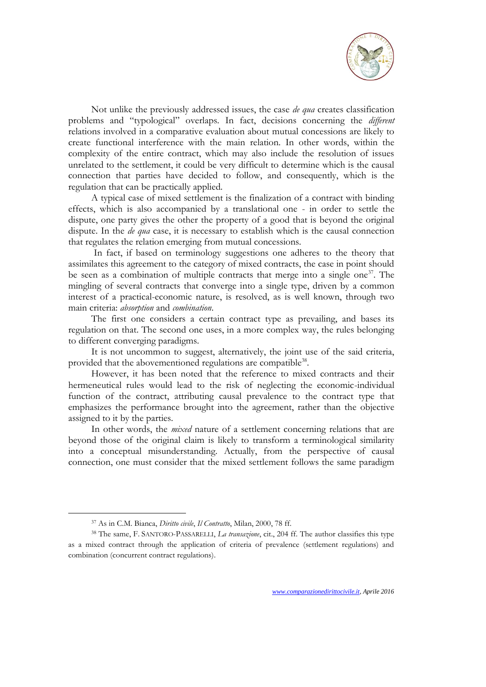

Not unlike the previously addressed issues, the case *de qua* creates classification problems and "typological" overlaps. In fact, decisions concerning the *different* relations involved in a comparative evaluation about mutual concessions are likely to create functional interference with the main relation. In other words, within the complexity of the entire contract, which may also include the resolution of issues unrelated to the settlement, it could be very difficult to determine which is the causal connection that parties have decided to follow, and consequently, which is the regulation that can be practically applied.

A typical case of mixed settlement is the finalization of a contract with binding effects, which is also accompanied by a translational one - in order to settle the dispute, one party gives the other the property of a good that is beyond the original dispute. In the *de qua* case, it is necessary to establish which is the causal connection that regulates the relation emerging from mutual concessions.

In fact, if based on terminology suggestions one adheres to the theory that assimilates this agreement to the category of mixed contracts, the case in point should be seen as a combination of multiple contracts that merge into a single one<sup>37</sup>. The mingling of several contracts that converge into a single type, driven by a common interest of a practical-economic nature, is resolved, as is well known, through two main criteria: *absorption* and *combination*.

The first one considers a certain contract type as prevailing, and bases its regulation on that. The second one uses, in a more complex way, the rules belonging to different converging paradigms.

It is not uncommon to suggest, alternatively, the joint use of the said criteria, provided that the abovementioned regulations are compatible<sup>38</sup>.

However, it has been noted that the reference to mixed contracts and their hermeneutical rules would lead to the risk of neglecting the economic-individual function of the contract, attributing causal prevalence to the contract type that emphasizes the performance brought into the agreement, rather than the objective assigned to it by the parties.

In other words, the *mixed* nature of a settlement concerning relations that are beyond those of the original claim is likely to transform a terminological similarity into a conceptual misunderstanding. Actually, from the perspective of causal connection, one must consider that the mixed settlement follows the same paradigm

<sup>37</sup> As in C.M. Bianca, *Diritto civile*, *Il Contratto*, Milan, 2000, 78 ff.

<sup>38</sup> The same, F. SANTORO-PASSARELLI, *La transazione*, cit., 204 ff. The author classifies this type as a mixed contract through the application of criteria of prevalence (settlement regulations) and combination (concurrent contract regulations).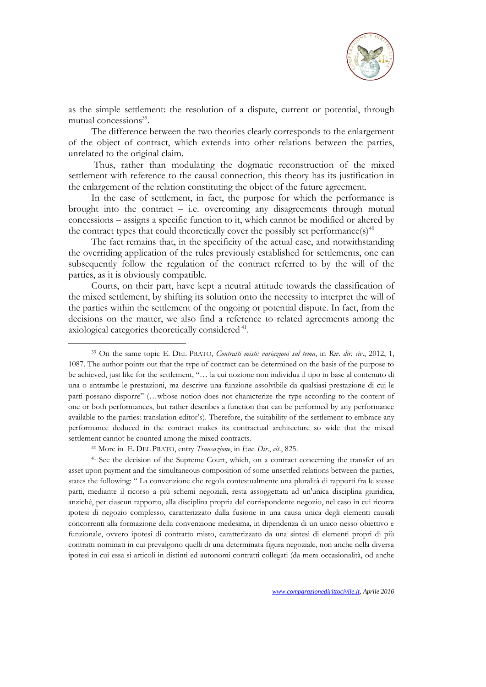

as the simple settlement: the resolution of a dispute, current or potential, through mutual concessions<sup>39</sup>.

The difference between the two theories clearly corresponds to the enlargement of the object of contract, which extends into other relations between the parties, unrelated to the original claim.

Thus, rather than modulating the dogmatic reconstruction of the mixed settlement with reference to the causal connection, this theory has its justification in the enlargement of the relation constituting the object of the future agreement.

In the case of settlement, in fact, the purpose for which the performance is brought into the contract  $-$  i.e. overcoming any disagreements through mutual concessions – assigns a specific function to it, which cannot be modified or altered by the contract types that could theoretically cover the possibly set performance(s)<sup>40</sup>

The fact remains that, in the specificity of the actual case, and notwithstanding the overriding application of the rules previously established for settlements, one can subsequently follow the regulation of the contract referred to by the will of the parties, as it is obviously compatible.

Courts, on their part, have kept a neutral attitude towards the classification of the mixed settlement, by shifting its solution onto the necessity to interpret the will of the parties within the settlement of the ongoing or potential dispute. In fact, from the decisions on the matter, we also find a reference to related agreements among the axiological categories theoretically considered<sup>41</sup>.

-

<sup>41</sup> See the decision of the Supreme Court, which, on a contract concerning the transfer of an asset upon payment and the simultaneous composition of some unsettled relations between the parties, states the following: " La convenzione che regola contestualmente una pluralità di rapporti fra le stesse parti, mediante il ricorso a più schemi negoziali, resta assoggettata ad un'unica disciplina giuridica, anziché, per ciascun rapporto, alla disciplina propria del corrispondente negozio, nel caso in cui ricorra ipotesi di negozio complesso, caratterizzato dalla fusione in una causa unica degli elementi causali concorrenti alla formazione della convenzione medesima, in dipendenza di un unico nesso obiettivo e funzionale, ovvero ipotesi di contratto misto, caratterizzato da una sintesi di elementi propri di più contratti nominati in cui prevalgono quelli di una determinata figura negoziale, non anche nella diversa ipotesi in cui essa si articoli in distinti ed autonomi contratti collegati (da mera occasionalità, od anche

<sup>39</sup> On the same topic E. DEL PRATO, *Contratti misti: variazioni sul tema*, in *Riv. dir. civ*., 2012, 1, 1087. The author points out that the type of contract can be determined on the basis of the purpose to be achieved, just like for the settlement, "… la cui nozione non individua il tipo in base al contenuto di una o entrambe le prestazioni, ma descrive una funzione assolvibile da qualsiasi prestazione di cui le parti possano disporre" (…whose notion does not characterize the type according to the content of one or both performances, but rather describes a function that can be performed by any performance available to the parties: translation editor's). Therefore, the suitability of the settlement to embrace any performance deduced in the contract makes its contractual architecture so wide that the mixed settlement cannot be counted among the mixed contracts.

<sup>40</sup> More in E. DEL PRATO, entry *Transazione*, in *Enc. Dir*., *cit*., 825.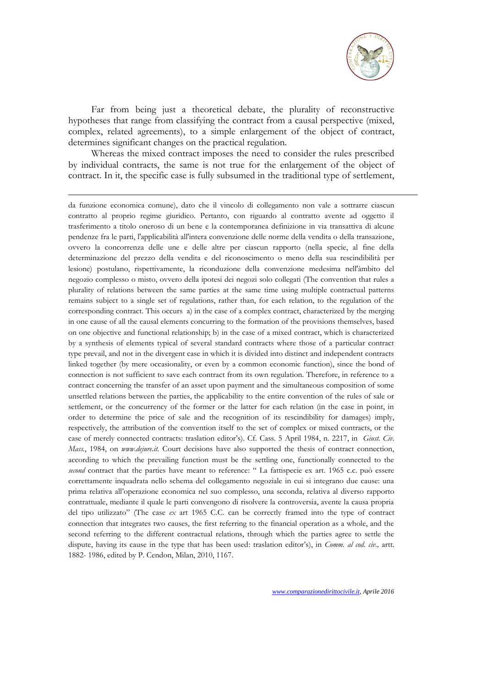

Far from being just a theoretical debate, the plurality of reconstructive hypotheses that range from classifying the contract from a causal perspective (mixed, complex, related agreements), to a simple enlargement of the object of contract, determines significant changes on the practical regulation.

Whereas the mixed contract imposes the need to consider the rules prescribed by individual contracts, the same is not true for the enlargement of the object of contract. In it, the specific case is fully subsumed in the traditional type of settlement,

-

da funzione economica comune), dato che il vincolo di collegamento non vale a sottrarre ciascun contratto al proprio regime giuridico. Pertanto, con riguardo al contratto avente ad oggetto il trasferimento a titolo oneroso di un bene e la contemporanea definizione in via transattiva di alcune pendenze fra le parti, l'applicabilità all'intera convenzione delle norme della vendita o della transazione, ovvero la concorrenza delle une e delle altre per ciascun rapporto (nella specie, al fine della determinazione del prezzo della vendita e del riconoscimento o meno della sua rescindibilità per lesione) postulano, rispettivamente, la riconduzione della convenzione medesima nell'àmbito del negozio complesso o misto, ovvero della ipotesi dei negozi solo collegati (The convention that rules a plurality of relations between the same parties at the same time using multiple contractual patterns remains subject to a single set of regulations, rather than, for each relation, to the regulation of the corresponding contract. This occurs a) in the case of a complex contract, characterized by the merging in one cause of all the causal elements concurring to the formation of the provisions themselves, based on one objective and functional relationship; b) in the case of a mixed contract, which is characterized by a synthesis of elements typical of several standard contracts where those of a particular contract type prevail, and not in the divergent case in which it is divided into distinct and independent contracts linked together (by mere occasionality, or even by a common economic function), since the bond of connection is not sufficient to save each contract from its own regulation. Therefore, in reference to a contract concerning the transfer of an asset upon payment and the simultaneous composition of some unsettled relations between the parties, the applicability to the entire convention of the rules of sale or settlement, or the concurrency of the former or the latter for each relation (in the case in point, in order to determine the price of sale and the recognition of its rescindibility for damages) imply, respectively, the attribution of the convention itself to the set of complex or mixed contracts, or the case of merely connected contracts: traslation editor's). Cf. Cass. 5 April 1984, n. 2217, in *Giust. Civ. Mass.*, 1984, on *[www.dejure.it.](http://www.dejure.it/)* Court decisions have also supported the thesis of contract connection, according to which the prevailing function must be the settling one, functionally connected to the *second* contract that the parties have meant to reference: " La fattispecie ex art. 1965 c.c. può essere correttamente inquadrata nello schema del collegamento negoziale in cui si integrano due cause: una prima relativa all'operazione economica nel suo complesso, una seconda, relativa al diverso rapporto contrattuale, mediante il quale le parti convengono di risolvere la controversia, avente la causa propria del tipo utilizzato" (The case *ex* art 1965 C.C. can be correctly framed into the type of contract connection that integrates two causes, the first referring to the financial operation as a whole, and the second referring to the different contractual relations, through which the parties agree to settle the dispute, having its cause in the type that has been used: traslation editor's), in *Comm. al cod. civ.,* artt. 1882- 1986, edited by P. Cendon, Milan, 2010, 1167.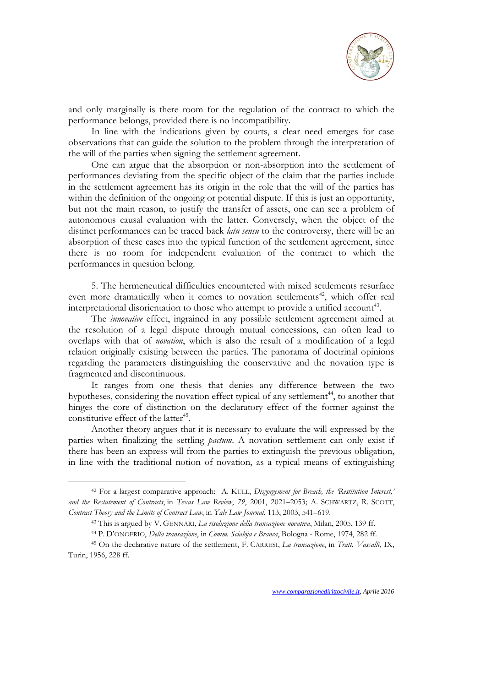

and only marginally is there room for the regulation of the contract to which the performance belongs, provided there is no incompatibility.

In line with the indications given by courts, a clear need emerges for case observations that can guide the solution to the problem through the interpretation of the will of the parties when signing the settlement agreement.

One can argue that the absorption or non-absorption into the settlement of performances deviating from the specific object of the claim that the parties include in the settlement agreement has its origin in the role that the will of the parties has within the definition of the ongoing or potential dispute. If this is just an opportunity, but not the main reason, to justify the transfer of assets, one can see a problem of autonomous causal evaluation with the latter. Conversely, when the object of the distinct performances can be traced back *latu sensu* to the controversy, there will be an absorption of these cases into the typical function of the settlement agreement, since there is no room for independent evaluation of the contract to which the performances in question belong.

5. The hermeneutical difficulties encountered with mixed settlements resurface even more dramatically when it comes to novation settlements<sup>42</sup>, which offer real interpretational disorientation to those who attempt to provide a unified account<sup>43</sup>.

The *innovative* effect, ingrained in any possible settlement agreement aimed at the resolution of a legal dispute through mutual concessions, can often lead to overlaps with that of *novation*, which is also the result of a modification of a legal relation originally existing between the parties. The panorama of doctrinal opinions regarding the parameters distinguishing the conservative and the novation type is fragmented and discontinuous.

It ranges from one thesis that denies any difference between the two hypotheses, considering the novation effect typical of any settlement<sup>44</sup>, to another that hinges the core of distinction on the declaratory effect of the former against the constitutive effect of the latter<sup>45</sup>.

Another theory argues that it is necessary to evaluate the will expressed by the parties when finalizing the settling *pactum*. A novation settlement can only exist if there has been an express will from the parties to extinguish the previous obligation, in line with the traditional notion of novation, as a typical means of extinguishing

<sup>42</sup> For a largest comparative approach: A. KULL, *Disgorgement for Breach, the 'Restitution Interest,' and the Restatement of Contracts*, in *Texas Law Review*, *79*, 2001, 2021–2053; A. SCHWARTZ, R. SCOTT, *Contract Theory and the Limits of Contract Law*, in *Yale Law Journal*, 113, 2003, 541–619.

<sup>43</sup> This is argued by V. GENNARI, *La risoluzione della transazione novativa*, Milan, 2005, 139 ff.

<sup>44</sup> P. D'ONOFRIO, *Della transazione*, in *Comm. Scialoja e Branca*, Bologna - Rome, 1974, 282 ff.

<sup>45</sup> On the declarative nature of the settlement, F. CARRESI, *La transazione*, in *Tratt. Vassalli*, IX, Turin, 1956, 228 ff.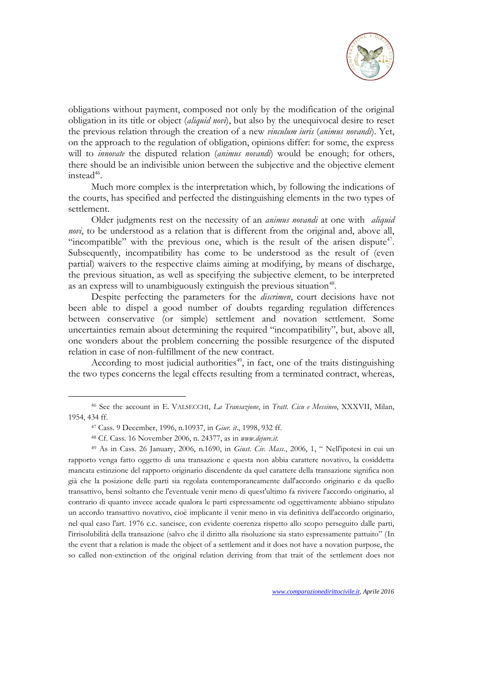

obligations without payment, composed not only by the modification of the original obligation in its title or object (*aliquid novi*), but also by the unequivocal desire to reset the previous relation through the creation of a new *vinculum iuris* (*animus novandi*). Yet, on the approach to the regulation of obligation, opinions differ: for some, the express will to *innovate* the disputed relation (*animus novandi*) would be enough; for others, there should be an indivisible union between the subjective and the objective element  $inted^{46}$ .

Much more complex is the interpretation which, by following the indications of the courts, has specified and perfected the distinguishing elements in the two types of settlement.

Older judgments rest on the necessity of an *animus novandi* at one with *aliquid novi*, to be understood as a relation that is different from the original and, above all, "incompatible" with the previous one, which is the result of the arisen dispute $47$ . Subsequently, incompatibility has come to be understood as the result of (even partial) waivers to the respective claims aiming at modifying, by means of discharge, the previous situation, as well as specifying the subjective element, to be interpreted as an express will to unambiguously extinguish the previous situation<sup>48</sup>.

Despite perfecting the parameters for the *discrimen*, court decisions have not been able to dispel a good number of doubts regarding regulation differences between conservative (or simple) settlement and novation settlement. Some uncertainties remain about determining the required "incompatibility", but, above all, one wonders about the problem concerning the possible resurgence of the disputed relation in case of non-fulfillment of the new contract.

According to most judicial authorities<sup>49</sup>, in fact, one of the traits distinguishing the two types concerns the legal effects resulting from a terminated contract, whereas,

<sup>46</sup> See the account in E. VALSECCHI, *La Transazione*, in *Tratt. Cicu e Messineo*, XXXVII, Milan, 1954, 434 ff.

<sup>47</sup> Cass. 9 December, 1996, n.10937, in *Giur. it*., 1998, 932 ff.

<sup>48</sup> Cf. Cass. 16 November 2006, n. 24377, as in *[www.dejure.it.](http://www.dejure.it/)*

<sup>49</sup> As in Cass. 26 January, 2006, n.1690, in *Giust. Civ. Mass.*, 2006, 1, " Nell'ipotesi in cui un rapporto venga fatto oggetto di una transazione e questa non abbia carattere novativo, la cosiddetta mancata estinzione del rapporto originario discendente da quel carattere della transazione significa non già che la posizione delle parti sia regolata contemporaneamente dall'accordo originario e da quello transattivo, bensì soltanto che l'eventuale venir meno di quest'ultimo fa rivivere l'accordo originario, al contrario di quanto invece accade qualora le parti espressamente od oggettivamente abbiano stipulato un accordo transattivo novativo, cioè implicante il venir meno in via definitiva dell'accordo originario, nel qual caso l'art. 1976 c.c. sancisce, con evidente coerenza rispetto allo scopo perseguito dalle parti, l'irrisolubilità della transazione (salvo che il diritto alla risoluzione sia stato espressamente pattuito" (In the event that a relation is made the object of a settlement and it does not have a novation purpose, the so called non-extinction of the original relation deriving from that trait of the settlement does not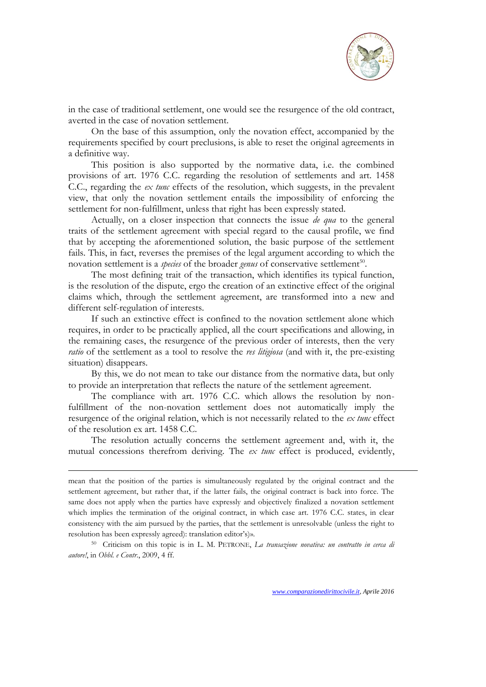

in the case of traditional settlement, one would see the resurgence of the old contract, averted in the case of novation settlement.

On the base of this assumption, only the novation effect, accompanied by the requirements specified by court preclusions, is able to reset the original agreements in a definitive way.

This position is also supported by the normative data, i.e. the combined provisions of art. 1976 C.C. regarding the resolution of settlements and art. 1458 C.C., regarding the *ex tunc* effects of the resolution, which suggests, in the prevalent view, that only the novation settlement entails the impossibility of enforcing the settlement for non-fulfillment, unless that right has been expressly stated.

Actually, on a closer inspection that connects the issue *de qua* to the general traits of the settlement agreement with special regard to the causal profile, we find that by accepting the aforementioned solution, the basic purpose of the settlement fails. This, in fact, reverses the premises of the legal argument according to which the novation settlement is a *species* of the broader *genus* of conservative settlement<sup>50</sup>.

The most defining trait of the transaction, which identifies its typical function, is the resolution of the dispute, ergo the creation of an extinctive effect of the original claims which, through the settlement agreement, are transformed into a new and different self-regulation of interests.

If such an extinctive effect is confined to the novation settlement alone which requires, in order to be practically applied, all the court specifications and allowing, in the remaining cases, the resurgence of the previous order of interests, then the very *ratio* of the settlement as a tool to resolve the *res litigiosa* (and with it, the pre-existing situation) disappears.

By this, we do not mean to take our distance from the normative data, but only to provide an interpretation that reflects the nature of the settlement agreement.

The compliance with art. 1976 C.C. which allows the resolution by nonfulfillment of the non-novation settlement does not automatically imply the resurgence of the original relation, which is not necessarily related to the *ex tunc* effect of the resolution ex art. 1458 C.C.

The resolution actually concerns the settlement agreement and, with it, the mutual concessions therefrom deriving. The *ex tunc* effect is produced, evidently,

-

50 Criticism on this topic is in L. M. PETRONE, *La transazione novativa: un contratto in cerca di autore!*, in *Obbl. e Contr*., 2009, 4 ff.

mean that the position of the parties is simultaneously regulated by the original contract and the settlement agreement, but rather that, if the latter fails, the original contract is back into force. The same does not apply when the parties have expressly and objectively finalized a novation settlement which implies the termination of the original contract, in which case art. 1976 C.C. states, in clear consistency with the aim pursued by the parties, that the settlement is unresolvable (unless the right to resolution has been expressly agreed): translation editor's)».